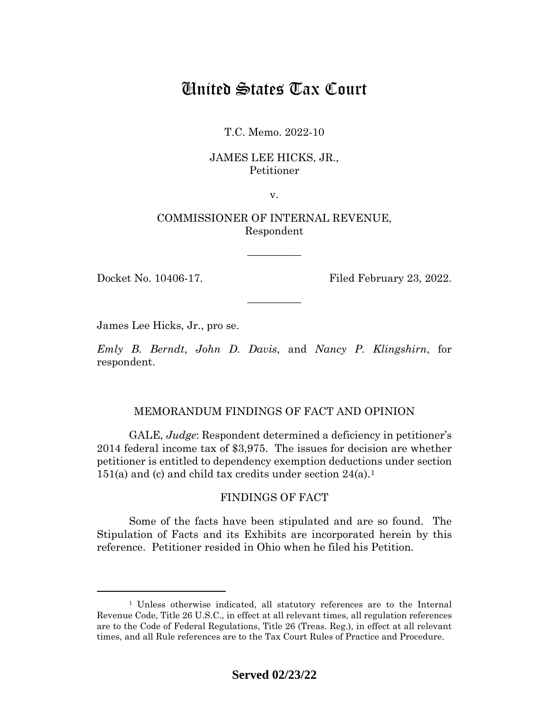# United States Tax Court

T.C. Memo. 2022-10

# JAMES LEE HICKS, JR., Petitioner

v.

# COMMISSIONER OF INTERNAL REVENUE, Respondent

—————

—————

Docket No. 10406-17. Filed February 23, 2022.

James Lee Hicks, Jr., pro se.

*Emly B. Berndt*, *John D. Davis*, and *Nancy P. Klingshirn*, for respondent.

# MEMORANDUM FINDINGS OF FACT AND OPINION

GALE, *Judge*: Respondent determined a deficiency in petitioner's 2014 federal income tax of \$3,975. The issues for decision are whether petitioner is entitled to dependency exemption deductions under section [1](#page-0-0)51(a) and (c) and child tax credits under section  $24(a)$ .<sup>1</sup>

# FINDINGS OF FACT

Some of the facts have been stipulated and are so found. The Stipulation of Facts and its Exhibits are incorporated herein by this reference. Petitioner resided in Ohio when he filed his Petition.

<span id="page-0-0"></span><sup>1</sup> Unless otherwise indicated, all statutory references are to the Internal Revenue Code, Title 26 U.S.C., in effect at all relevant times, all regulation references are to the Code of Federal Regulations, Title 26 (Treas. Reg.), in effect at all relevant times, and all Rule references are to the Tax Court Rules of Practice and Procedure.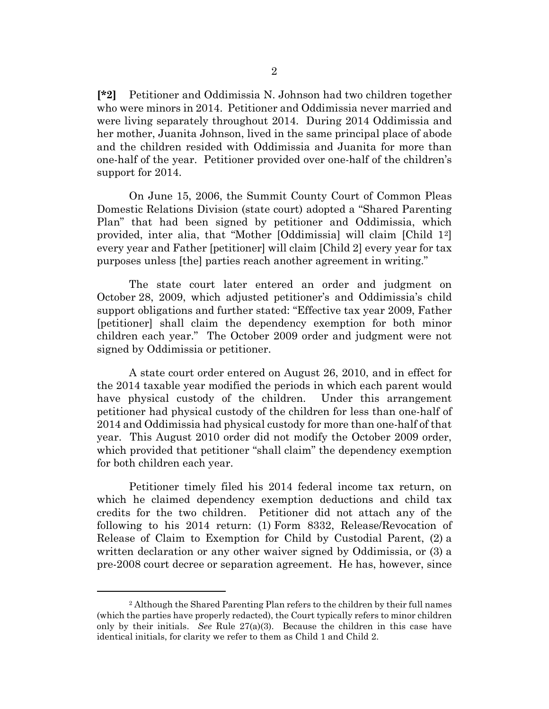**[\*2]** Petitioner and Oddimissia N. Johnson had two children together who were minors in 2014. Petitioner and Oddimissia never married and were living separately throughout 2014. During 2014 Oddimissia and her mother, Juanita Johnson, lived in the same principal place of abode and the children resided with Oddimissia and Juanita for more than one-half of the year. Petitioner provided over one-half of the children's support for 2014.

On June 15, 2006, the Summit County Court of Common Pleas Domestic Relations Division (state court) adopted a "Shared Parenting Plan" that had been signed by petitioner and Oddimissia, which provided, inter alia, that "Mother [Oddimissia] will claim [Child 1[2](#page-1-0)] every year and Father [petitioner] will claim [Child 2] every year for tax purposes unless [the] parties reach another agreement in writing."

The state court later entered an order and judgment on October 28, 2009, which adjusted petitioner's and Oddimissia's child support obligations and further stated: "Effective tax year 2009, Father [petitioner] shall claim the dependency exemption for both minor children each year." The October 2009 order and judgment were not signed by Oddimissia or petitioner.

A state court order entered on August 26, 2010, and in effect for the 2014 taxable year modified the periods in which each parent would have physical custody of the children. Under this arrangement petitioner had physical custody of the children for less than one-half of 2014 and Oddimissia had physical custody for more than one-half of that year. This August 2010 order did not modify the October 2009 order, which provided that petitioner "shall claim" the dependency exemption for both children each year.

Petitioner timely filed his 2014 federal income tax return, on which he claimed dependency exemption deductions and child tax credits for the two children. Petitioner did not attach any of the following to his 2014 return: (1) Form 8332, Release/Revocation of Release of Claim to Exemption for Child by Custodial Parent, (2) a written declaration or any other waiver signed by Oddimissia, or (3) a pre-2008 court decree or separation agreement. He has, however, since

<span id="page-1-0"></span><sup>2</sup> Although the Shared Parenting Plan refers to the children by their full names (which the parties have properly redacted), the Court typically refers to minor children only by their initials. *See* Rule 27(a)(3). Because the children in this case have identical initials, for clarity we refer to them as Child 1 and Child 2.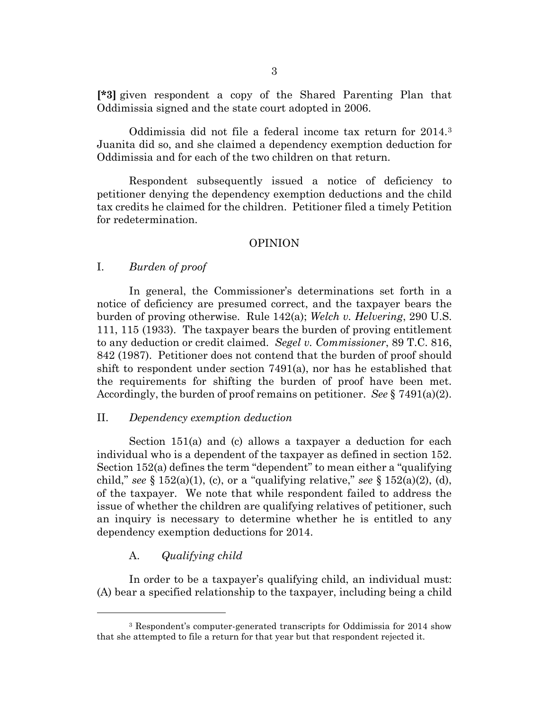**[\*3]** given respondent a copy of the Shared Parenting Plan that Oddimissia signed and the state court adopted in 2006.

Oddimissia did not file a federal income tax return for 2014.[3](#page-2-0) Juanita did so, and she claimed a dependency exemption deduction for Oddimissia and for each of the two children on that return.

Respondent subsequently issued a notice of deficiency to petitioner denying the dependency exemption deductions and the child tax credits he claimed for the children. Petitioner filed a timely Petition for redetermination.

## OPINION

## I. *Burden of proof*

In general, the Commissioner's determinations set forth in a notice of deficiency are presumed correct, and the taxpayer bears the burden of proving otherwise. Rule 142(a); *Welch v. Helvering*, 290 U.S. 111, 115 (1933). The taxpayer bears the burden of proving entitlement to any deduction or credit claimed. *Segel v. Commissioner*, 89 T.C. 816, 842 (1987). Petitioner does not contend that the burden of proof should shift to respondent under section 7491(a), nor has he established that the requirements for shifting the burden of proof have been met. Accordingly, the burden of proof remains on petitioner. *See* § 7491(a)(2).

#### II. *Dependency exemption deduction*

Section 151(a) and (c) allows a taxpayer a deduction for each individual who is a dependent of the taxpayer as defined in section 152. Section 152(a) defines the term "dependent" to mean either a "qualifying child," *see*  $\S$  152(a)(1), (c), or a "qualifying relative," *see*  $\S$  152(a)(2), (d), of the taxpayer. We note that while respondent failed to address the issue of whether the children are qualifying relatives of petitioner, such an inquiry is necessary to determine whether he is entitled to any dependency exemption deductions for 2014.

# A. *Qualifying child*

In order to be a taxpayer's qualifying child, an individual must: (A) bear a specified relationship to the taxpayer, including being a child

<span id="page-2-0"></span><sup>3</sup> Respondent's computer-generated transcripts for Oddimissia for 2014 show that she attempted to file a return for that year but that respondent rejected it.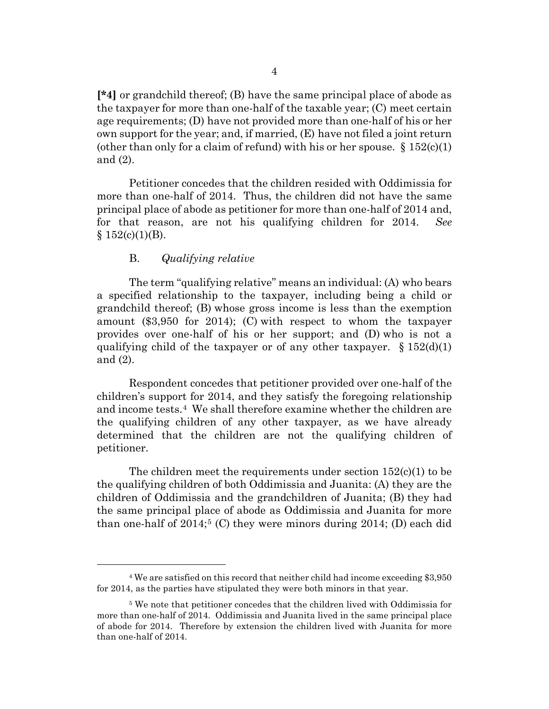**[\*4]** or grandchild thereof; (B) have the same principal place of abode as the taxpayer for more than one-half of the taxable year; (C) meet certain age requirements; (D) have not provided more than one-half of his or her own support for the year; and, if married, (E) have not filed a joint return (other than only for a claim of refund) with his or her spouse.  $\S 152(c)(1)$ and (2).

Petitioner concedes that the children resided with Oddimissia for more than one-half of 2014. Thus, the children did not have the same principal place of abode as petitioner for more than one-half of 2014 and, for that reason, are not his qualifying children for 2014. *See*  $§ 152(c)(1)(B).$ 

# B. *Qualifying relative*

The term "qualifying relative" means an individual: (A) who bears a specified relationship to the taxpayer, including being a child or grandchild thereof; (B) whose gross income is less than the exemption amount (\$3,950 for 2014); (C) with respect to whom the taxpayer provides over one-half of his or her support; and (D) who is not a qualifying child of the taxpayer or of any other taxpayer.  $\S 152(d)(1)$ and (2).

Respondent concedes that petitioner provided over one-half of the children's support for 2014, and they satisfy the foregoing relationship and income tests.[4](#page-3-0) We shall therefore examine whether the children are the qualifying children of any other taxpayer, as we have already determined that the children are not the qualifying children of petitioner.

The children meet the requirements under section  $152(c)(1)$  to be the qualifying children of both Oddimissia and Juanita: (A) they are the children of Oddimissia and the grandchildren of Juanita; (B) they had the same principal place of abode as Oddimissia and Juanita for more than one-half of  $2014$ ;<sup>[5](#page-3-1)</sup> (C) they were minors during  $2014$ ; (D) each did

<span id="page-3-0"></span><sup>4</sup> We are satisfied on this record that neither child had income exceeding \$3,950 for 2014, as the parties have stipulated they were both minors in that year.

<span id="page-3-1"></span><sup>5</sup> We note that petitioner concedes that the children lived with Oddimissia for more than one-half of 2014. Oddimissia and Juanita lived in the same principal place of abode for 2014. Therefore by extension the children lived with Juanita for more than one-half of 2014.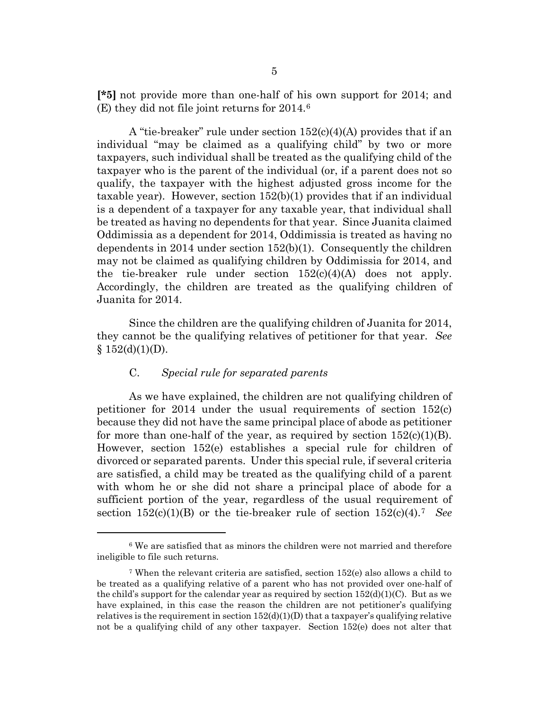**[\*5]** not provide more than one-half of his own support for 2014; and (E) they did not file joint returns for 2014.[6](#page-4-0)

A "tie-breaker" rule under section 152(c)(4)(A) provides that if an individual "may be claimed as a qualifying child" by two or more taxpayers, such individual shall be treated as the qualifying child of the taxpayer who is the parent of the individual (or, if a parent does not so qualify, the taxpayer with the highest adjusted gross income for the taxable year). However, section 152(b)(1) provides that if an individual is a dependent of a taxpayer for any taxable year, that individual shall be treated as having no dependents for that year. Since Juanita claimed Oddimissia as a dependent for 2014, Oddimissia is treated as having no dependents in 2014 under section 152(b)(1). Consequently the children may not be claimed as qualifying children by Oddimissia for 2014, and the tie-breaker rule under section  $152(c)(4)(A)$  does not apply. Accordingly, the children are treated as the qualifying children of Juanita for 2014.

Since the children are the qualifying children of Juanita for 2014, they cannot be the qualifying relatives of petitioner for that year. *See*  $§ 152(d)(1)(D).$ 

#### C. *Special rule for separated parents*

As we have explained, the children are not qualifying children of petitioner for 2014 under the usual requirements of section 152(c) because they did not have the same principal place of abode as petitioner for more than one-half of the year, as required by section  $152(c)(1)(B)$ . However, section 152(e) establishes a special rule for children of divorced or separated parents. Under this special rule, if several criteria are satisfied, a child may be treated as the qualifying child of a parent with whom he or she did not share a principal place of abode for a sufficient portion of the year, regardless of the usual requirement of section 152(c)(1)(B) or the tie-breaker rule of section 152(c)(4).[7](#page-4-1) *See*

<span id="page-4-0"></span><sup>6</sup> We are satisfied that as minors the children were not married and therefore ineligible to file such returns.

<span id="page-4-1"></span><sup>7</sup> When the relevant criteria are satisfied, section 152(e) also allows a child to be treated as a qualifying relative of a parent who has not provided over one-half of the child's support for the calendar year as required by section  $152(d)(1)(C)$ . But as we have explained, in this case the reason the children are not petitioner's qualifying relatives is the requirement in section  $152(d)(1)(D)$  that a taxpayer's qualifying relative not be a qualifying child of any other taxpayer. Section 152(e) does not alter that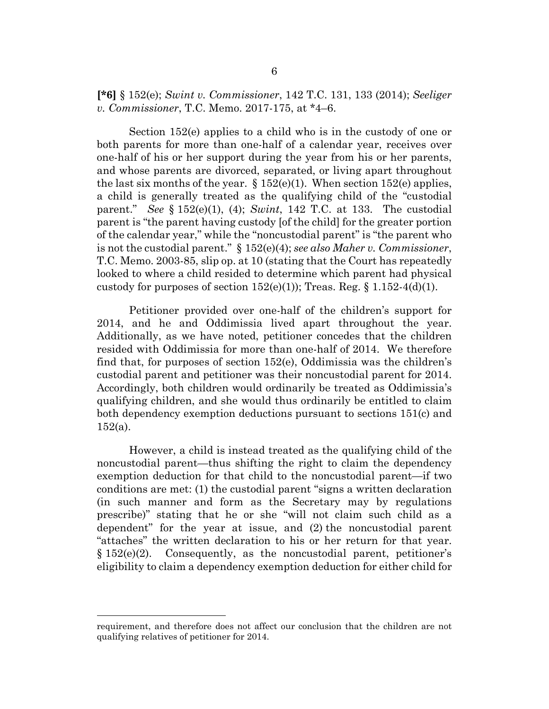**[\*6]** § 152(e); *Swint v. Commissioner*, 142 T.C. 131, 133 (2014); *Seeliger v. Commissioner*, T.C. Memo. 2017-175, at \*4–6.

Section 152(e) applies to a child who is in the custody of one or both parents for more than one-half of a calendar year, receives over one-half of his or her support during the year from his or her parents, and whose parents are divorced, separated, or living apart throughout the last six months of the year.  $\S 152(e)(1)$ . When section 152(e) applies, a child is generally treated as the qualifying child of the "custodial parent." *See* § 152(e)(1), (4); *Swint*, 142 T.C. at 133. The custodial parent is "the parent having custody [of the child] for the greater portion of the calendar year," while the "noncustodial parent" is "the parent who is not the custodial parent." § 152(e)(4); *see also Maher v. Commissioner*, T.C. Memo. 2003-85, slip op. at 10 (stating that the Court has repeatedly looked to where a child resided to determine which parent had physical custody for purposes of section  $152(e)(1)$ ; Treas. Reg. § 1.152-4(d)(1).

Petitioner provided over one-half of the children's support for 2014, and he and Oddimissia lived apart throughout the year. Additionally, as we have noted, petitioner concedes that the children resided with Oddimissia for more than one-half of 2014. We therefore find that, for purposes of section 152(e), Oddimissia was the children's custodial parent and petitioner was their noncustodial parent for 2014. Accordingly, both children would ordinarily be treated as Oddimissia's qualifying children, and she would thus ordinarily be entitled to claim both dependency exemption deductions pursuant to sections 151(c) and  $152(a)$ .

However, a child is instead treated as the qualifying child of the noncustodial parent—thus shifting the right to claim the dependency exemption deduction for that child to the noncustodial parent—if two conditions are met: (1) the custodial parent "signs a written declaration (in such manner and form as the Secretary may by regulations prescribe)" stating that he or she "will not claim such child as a dependent" for the year at issue, and (2) the noncustodial parent "attaches" the written declaration to his or her return for that year.  $§ 152(e)(2).$  Consequently, as the noncustodial parent, petitioner's eligibility to claim a dependency exemption deduction for either child for

requirement, and therefore does not affect our conclusion that the children are not qualifying relatives of petitioner for 2014.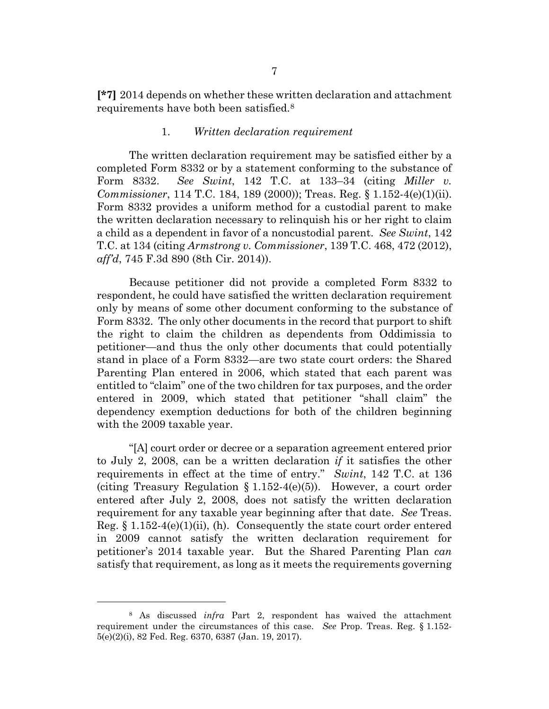**[\*7]** 2014 depends on whether these written declaration and attachment requirements have both been satisfied.[8](#page-6-0)

#### 1. *Written declaration requirement*

The written declaration requirement may be satisfied either by a completed Form 8332 or by a statement conforming to the substance of Form 8332. *See Swint*, 142 T.C. at 133–34 (citing *Miller v. Commissioner*, 114 T.C. 184, 189 (2000)); Treas. Reg. § 1.152-4(e)(1)(ii). Form 8332 provides a uniform method for a custodial parent to make the written declaration necessary to relinquish his or her right to claim a child as a dependent in favor of a noncustodial parent. *See Swint*, 142 T.C. at 134 (citing *Armstrong v. Commissioner*, 139 T.C. 468, 472 (2012), *aff'd*, 745 F.3d 890 (8th Cir. 2014)).

Because petitioner did not provide a completed Form 8332 to respondent, he could have satisfied the written declaration requirement only by means of some other document conforming to the substance of Form 8332. The only other documents in the record that purport to shift the right to claim the children as dependents from Oddimissia to petitioner—and thus the only other documents that could potentially stand in place of a Form 8332—are two state court orders: the Shared Parenting Plan entered in 2006, which stated that each parent was entitled to "claim" one of the two children for tax purposes, and the order entered in 2009, which stated that petitioner "shall claim" the dependency exemption deductions for both of the children beginning with the 2009 taxable year.

"[A] court order or decree or a separation agreement entered prior to July 2, 2008, can be a written declaration *if* it satisfies the other requirements in effect at the time of entry." *Swint*, 142 T.C. at 136 (citing Treasury Regulation § 1.152-4(e)(5)). However, a court order entered after July 2, 2008, does not satisfy the written declaration requirement for any taxable year beginning after that date. *See* Treas. Reg.  $\S 1.152-4(e)(1)(ii)$ , (h). Consequently the state court order entered in 2009 cannot satisfy the written declaration requirement for petitioner's 2014 taxable year. But the Shared Parenting Plan *can* satisfy that requirement, as long as it meets the requirements governing

<span id="page-6-0"></span><sup>8</sup> As discussed *infra* Part 2, respondent has waived the attachment requirement under the circumstances of this case. *See* Prop. Treas. Reg. § 1.152- 5(e)(2)(i), 82 Fed. Reg. 6370, 6387 (Jan. 19, 2017).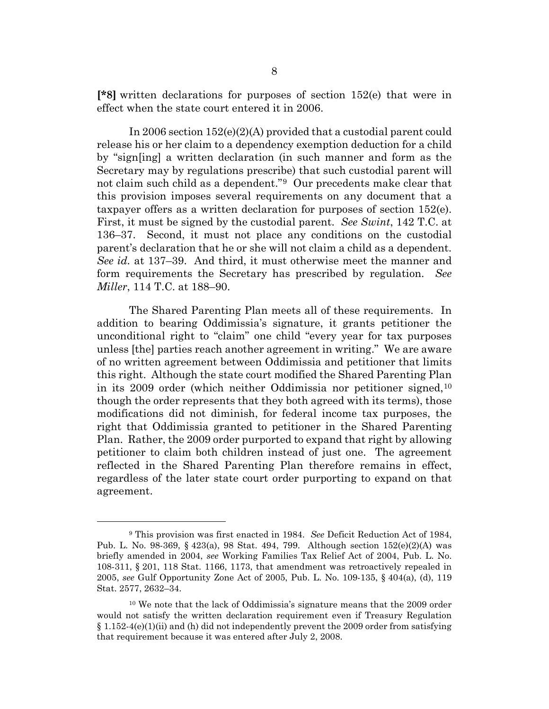**[\*8]** written declarations for purposes of section 152(e) that were in effect when the state court entered it in 2006.

In 2006 section 152(e)(2)(A) provided that a custodial parent could release his or her claim to a dependency exemption deduction for a child by "sign[ing] a written declaration (in such manner and form as the Secretary may by regulations prescribe) that such custodial parent will not claim such child as a dependent."[9](#page-7-0) Our precedents make clear that this provision imposes several requirements on any document that a taxpayer offers as a written declaration for purposes of section 152(e). First, it must be signed by the custodial parent. *See Swint*, 142 T.C. at 136–37. Second, it must not place any conditions on the custodial parent's declaration that he or she will not claim a child as a dependent. *See id.* at 137–39. And third, it must otherwise meet the manner and form requirements the Secretary has prescribed by regulation. *See Miller*, 114 T.C. at 188–90.

The Shared Parenting Plan meets all of these requirements. In addition to bearing Oddimissia's signature, it grants petitioner the unconditional right to "claim" one child "every year for tax purposes unless [the] parties reach another agreement in writing." We are aware of no written agreement between Oddimissia and petitioner that limits this right. Although the state court modified the Shared Parenting Plan in its 2009 order (which neither Oddimissia nor petitioner signed,  $10<sup>10</sup>$  $10<sup>10</sup>$ though the order represents that they both agreed with its terms), those modifications did not diminish, for federal income tax purposes, the right that Oddimissia granted to petitioner in the Shared Parenting Plan. Rather, the 2009 order purported to expand that right by allowing petitioner to claim both children instead of just one. The agreement reflected in the Shared Parenting Plan therefore remains in effect, regardless of the later state court order purporting to expand on that agreement.

<span id="page-7-0"></span><sup>9</sup> This provision was first enacted in 1984. *See* Deficit Reduction Act of 1984, Pub. L. No. 98-369, § 423(a), 98 Stat. 494, 799. Although section 152(e)(2)(A) was briefly amended in 2004, *see* Working Families Tax Relief Act of 2004, Pub. L. No. 108-311, § 201, 118 Stat. 1166, 1173, that amendment was retroactively repealed in 2005, *see* Gulf Opportunity Zone Act of 2005, Pub. L. No. 109-135, § 404(a), (d), 119 Stat. 2577, 2632–34.

<span id="page-7-1"></span><sup>&</sup>lt;sup>10</sup> We note that the lack of Oddimissia's signature means that the 2009 order would not satisfy the written declaration requirement even if Treasury Regulation  $§$  1.152-4(e)(1)(ii) and (h) did not independently prevent the 2009 order from satisfying that requirement because it was entered after July 2, 2008.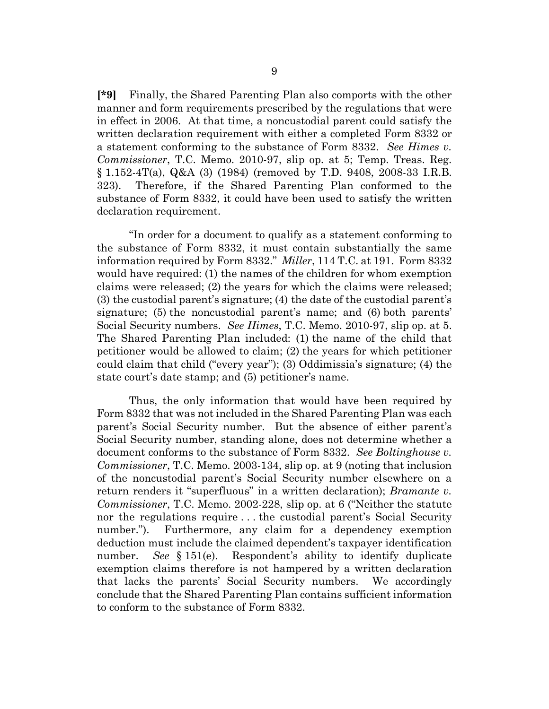**[\*9]** Finally, the Shared Parenting Plan also comports with the other manner and form requirements prescribed by the regulations that were in effect in 2006. At that time, a noncustodial parent could satisfy the written declaration requirement with either a completed Form 8332 or a statement conforming to the substance of Form 8332. *See Himes v. Commissioner*, T.C. Memo. 2010-97, slip op. at 5; Temp. Treas. Reg. § 1.152-4T(a), Q&A (3) (1984) (removed by T.D. 9408, 2008-33 I.R.B. 323). Therefore, if the Shared Parenting Plan conformed to the substance of Form 8332, it could have been used to satisfy the written declaration requirement.

"In order for a document to qualify as a statement conforming to the substance of Form 8332, it must contain substantially the same information required by Form 8332." *Miller*, 114 T.C. at 191. Form 8332 would have required: (1) the names of the children for whom exemption claims were released; (2) the years for which the claims were released; (3) the custodial parent's signature; (4) the date of the custodial parent's signature; (5) the noncustodial parent's name; and (6) both parents' Social Security numbers. *See Himes*, T.C. Memo. 2010-97, slip op. at 5. The Shared Parenting Plan included: (1) the name of the child that petitioner would be allowed to claim; (2) the years for which petitioner could claim that child ("every year"); (3) Oddimissia's signature; (4) the state court's date stamp; and (5) petitioner's name.

Thus, the only information that would have been required by Form 8332 that was not included in the Shared Parenting Plan was each parent's Social Security number. But the absence of either parent's Social Security number, standing alone, does not determine whether a document conforms to the substance of Form 8332. *See Boltinghouse v. Commissioner*, T.C. Memo. 2003-134, slip op. at 9 (noting that inclusion of the noncustodial parent's Social Security number elsewhere on a return renders it "superfluous" in a written declaration); *Bramante v. Commissioner*, T.C. Memo. 2002-228, slip op. at 6 ("Neither the statute nor the regulations require . . . the custodial parent's Social Security number."). Furthermore, any claim for a dependency exemption deduction must include the claimed dependent's taxpayer identification number. *See* § 151(e). Respondent's ability to identify duplicate exemption claims therefore is not hampered by a written declaration that lacks the parents' Social Security numbers. We accordingly conclude that the Shared Parenting Plan contains sufficient information to conform to the substance of Form 8332.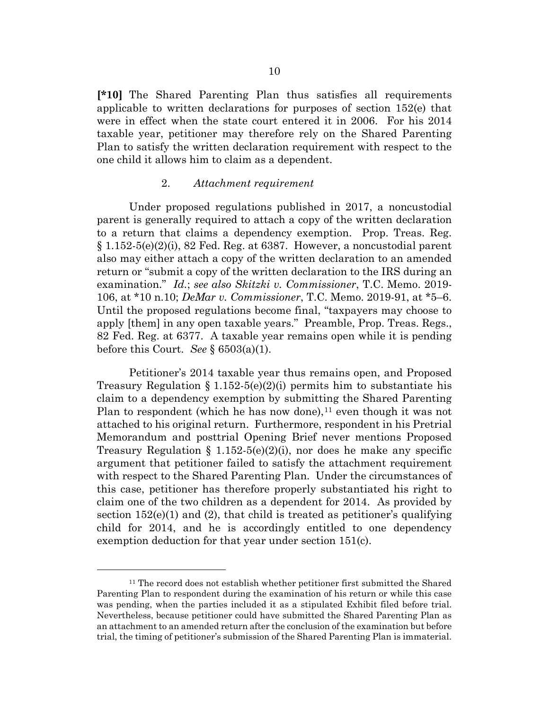**[\*10]** The Shared Parenting Plan thus satisfies all requirements applicable to written declarations for purposes of section 152(e) that were in effect when the state court entered it in 2006. For his 2014 taxable year, petitioner may therefore rely on the Shared Parenting Plan to satisfy the written declaration requirement with respect to the one child it allows him to claim as a dependent.

#### 2. *Attachment requirement*

Under proposed regulations published in 2017, a noncustodial parent is generally required to attach a copy of the written declaration to a return that claims a dependency exemption. Prop. Treas. Reg.  $\S 1.152-5(e)(2)(i)$ , 82 Fed. Reg. at 6387. However, a noncustodial parent also may either attach a copy of the written declaration to an amended return or "submit a copy of the written declaration to the IRS during an examination." *Id.*; *see also Skitzki v. Commissioner*, T.C. Memo. 2019- 106, at \*10 n.10; *DeMar v. Commissioner*, T.C. Memo. 2019-91, at \*5–6. Until the proposed regulations become final, "taxpayers may choose to apply [them] in any open taxable years." Preamble, Prop. Treas. Regs., 82 Fed. Reg. at 6377. A taxable year remains open while it is pending before this Court. *See* § 6503(a)(1).

Petitioner's 2014 taxable year thus remains open, and Proposed Treasury Regulation § 1.152-5(e)(2)(i) permits him to substantiate his claim to a dependency exemption by submitting the Shared Parenting Plan to respondent (which he has now done),<sup>[11](#page-9-0)</sup> even though it was not attached to his original return. Furthermore, respondent in his Pretrial Memorandum and posttrial Opening Brief never mentions Proposed Treasury Regulation § 1.152-5(e)(2)(i), nor does he make any specific argument that petitioner failed to satisfy the attachment requirement with respect to the Shared Parenting Plan. Under the circumstances of this case, petitioner has therefore properly substantiated his right to claim one of the two children as a dependent for 2014. As provided by section  $152(e)(1)$  and  $(2)$ , that child is treated as petitioner's qualifying child for 2014, and he is accordingly entitled to one dependency exemption deduction for that year under section 151(c).

<span id="page-9-0"></span><sup>11</sup> The record does not establish whether petitioner first submitted the Shared Parenting Plan to respondent during the examination of his return or while this case was pending, when the parties included it as a stipulated Exhibit filed before trial. Nevertheless, because petitioner could have submitted the Shared Parenting Plan as an attachment to an amended return after the conclusion of the examination but before trial, the timing of petitioner's submission of the Shared Parenting Plan is immaterial.